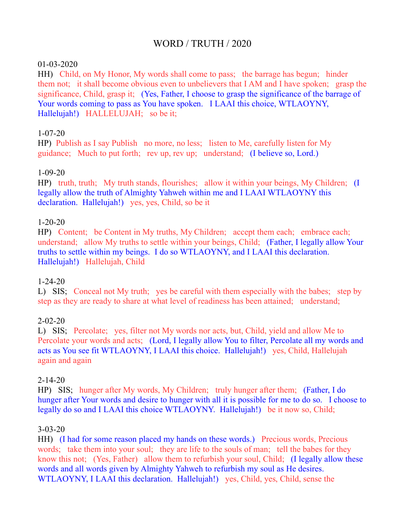# WORD / TRUTH / 2020

### 01-03-2020

HH) Child, on My Honor, My words shall come to pass; the barrage has begun; hinder them not; it shall become obvious even to unbelievers that I AM and I have spoken; grasp the significance, Child, grasp it; (Yes, Father, I choose to grasp the significance of the barrage of Your words coming to pass as You have spoken. I LAAI this choice, WTLAOYNY, Hallelujah!) HALLELUJAH; so be it;

### 1-07-20

HP) Publish as I say Publish no more, no less; listen to Me, carefully listen for My guidance; Much to put forth; rev up, rev up; understand; (I believe so, Lord.)

### 1-09-20

HP) truth, truth; My truth stands, flourishes; allow it within your beings, My Children; (I legally allow the truth of Almighty Yahweh within me and I LAAI WTLAOYNY this declaration. Hallelujah!) yes, yes, Child, so be it

### 1-20-20

HP) Content; be Content in My truths, My Children; accept them each; embrace each; understand; allow My truths to settle within your beings, Child; (Father, I legally allow Your truths to settle within my beings. I do so WTLAOYNY, and I LAAI this declaration. Hallelujah!) Hallelujah, Child

## 1-24-20

L) SIS; Conceal not My truth; yes be careful with them especially with the babes; step by step as they are ready to share at what level of readiness has been attained; understand;

### 2-02-20

L) SIS; Percolate; yes, filter not My words nor acts, but, Child, yield and allow Me to Percolate your words and acts; (Lord, I legally allow You to filter, Percolate all my words and acts as You see fit WTLAOYNY, I LAAI this choice. Hallelujah!) yes, Child, Hallelujah again and again

### 2-14-20

HP) SIS; hunger after My words, My Children; truly hunger after them; (Father, I do hunger after Your words and desire to hunger with all it is possible for me to do so. I choose to legally do so and I LAAI this choice WTLAOYNY. Hallelujah!) be it now so, Child;

### 3-03-20

HH) (I had for some reason placed my hands on these words.) Precious words, Precious words; take them into your soul; they are life to the souls of man; tell the babes for they know this not; (Yes, Father) allow them to refurbish your soul, Child; (I legally allow these words and all words given by Almighty Yahweh to refurbish my soul as He desires. WTLAOYNY, I LAAI this declaration. Hallelujah!) yes, Child, yes, Child, sense the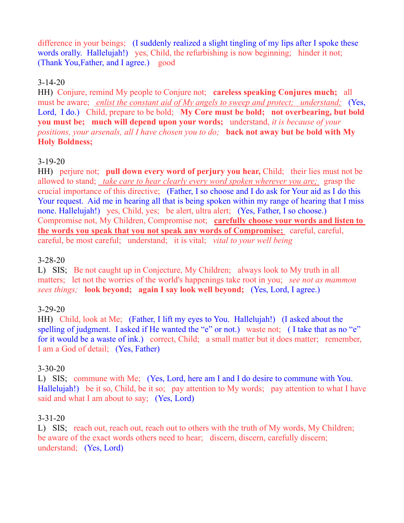difference in your beings; (I suddenly realized a slight tingling of my lips after I spoke these words orally. Hallelujah!) yes, Child, the refurbishing is now beginning; hinder it not; (Thank You,Father, and I agree.) good

### 3-14-20

HH) Conjure, remind My people to Conjure not; **careless speaking Conjures much;** all must be aware; *enlist the constant aid of My angels to sweep and protect; understand;* (Yes, Lord, I do.) Child, prepare to be bold; **My Core must be bold; not overbearing, but bold you must be; much will depend upon your words;** understand, *it is because of your positions, your arsenals, all I have chosen you to do;* **back not away but be bold with My Holy Boldness;**

### 3-19-20

HH) perjure not; **pull down every word of perjury you hear,** Child; their lies must not be allowed to stand; *take care to hear clearly every word spoken wherever you are;* grasp the crucial importance of this directive; (Father, I so choose and I do ask for Your aid as I do this Your request. Aid me in hearing all that is being spoken within my range of hearing that I miss none. Hallelujah!) yes, Child, yes; be alert, ultra alert; (Yes, Father, I so choose.) Compromise not, My Children, Compromise not; **carefully choose your words and listen to the words you speak that you not speak any words of Compromise;** careful, careful, careful, be most careful; understand; it is vital; *vital to your well being*

### 3-28-20

L) SIS; Be not caught up in Conjecture, My Children; always look to My truth in all matters; let not the worries of the world's happenings take root in you; *see not as mammon sees things;* **look beyond; again I say look well beyond;** (Yes, Lord, I agree.)

## 3-29-20

HH) Child, look at Me; (Father, I lift my eyes to You. Hallelujah!) (I asked about the spelling of judgment. I asked if He wanted the "e" or not.) waste not; (I take that as no "e" for it would be a waste of ink.) correct, Child; a small matter but it does matter; remember, I am a God of detail; (Yes, Father)

### 3-30-20

L) SIS; commune with Me; (Yes, Lord, here am I and I do desire to commune with You. Hallelujah!) be it so, Child, be it so; pay attention to My words; pay attention to what I have said and what I am about to say; (Yes, Lord)

### 3-31-20

L) SIS; reach out, reach out, reach out to others with the truth of My words, My Children; be aware of the exact words others need to hear; discern, discern, carefully discern; understand; (Yes, Lord)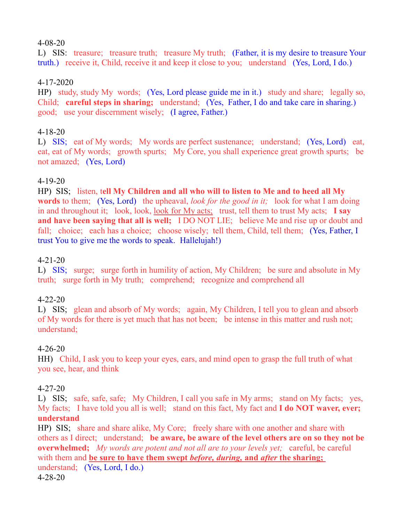### 4-08-20

L) SIS: treasure; treasure truth; treasure My truth; (Father, it is my desire to treasure Your truth.) receive it, Child, receive it and keep it close to you; understand (Yes, Lord, I do.)

### 4-17-2020

HP) study, study My words; (Yes, Lord please guide me in it.) study and share; legally so, Child; **careful steps in sharing;** understand; (Yes, Father, I do and take care in sharing.) good; use your discernment wisely; (I agree, Father.)

### 4-18-20

L) SIS; eat of My words; My words are perfect sustenance; understand; (Yes, Lord) eat, eat, eat of My words; growth spurts; My Core, you shall experience great growth spurts; be not amazed; (Yes, Lord)

### 4-19-20

HP) SIS; listen, t**ell My Children and all who will to listen to Me and to heed all My words** to them; (Yes, Lord) the upheaval, *look for the good in it;* look for what I am doing in and throughout it; look, look, look for My acts; trust, tell them to trust My acts; **I say and have been saying that all is well;** I DO NOT LIE; believe Me and rise up or doubt and fall; choice; each has a choice; choose wisely; tell them, Child, tell them; (Yes, Father, I trust You to give me the words to speak. Hallelujah!)

### 4-21-20

L) SIS; surge; surge forth in humility of action, My Children; be sure and absolute in My truth; surge forth in My truth; comprehend; recognize and comprehend all

### 4-22-20

L) SIS; glean and absorb of My words; again, My Children, I tell you to glean and absorb of My words for there is yet much that has not been; be intense in this matter and rush not; understand;

### 4-26-20

HH) Child, I ask you to keep your eyes, ears, and mind open to grasp the full truth of what you see, hear, and think

### 4-27-20

L) SIS; safe, safe, safe; My Children, I call you safe in My arms; stand on My facts; yes, My facts; I have told you all is well; stand on this fact, My fact and **I do NOT waver, ever; understand**

HP) SIS; share and share alike, My Core; freely share with one another and share with others as I direct; understand; **be aware, be aware of the level others are on so they not be overwhelmed;** *My words are potent and not all are to your levels yet;* careful, be careful with them and **be sure to have them swept** *before, during,* **and** *after* **the sharing;**  understand; (Yes, Lord, I do.) 4-28-20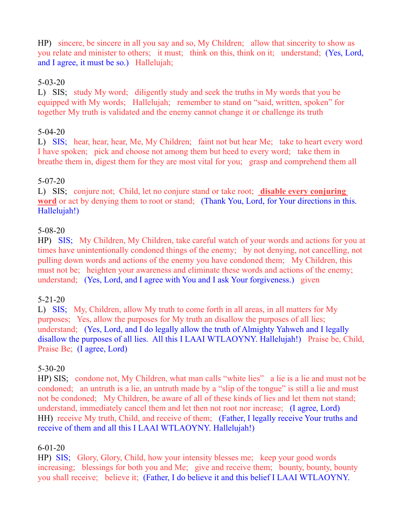HP) sincere, be sincere in all you say and so, My Children; allow that sincerity to show as you relate and minister to others; it must; think on this, think on it; understand; (Yes, Lord, and I agree, it must be so.) Hallelujah;

### 5-03-20

L) SIS; study My word; diligently study and seek the truths in My words that you be equipped with My words; Hallelujah; remember to stand on "said, written, spoken" for together My truth is validated and the enemy cannot change it or challenge its truth

### 5-04-20

L) SIS; hear, hear, hear, Me, My Children; faint not but hear Me; take to heart every word I have spoken; pick and choose not among them but heed to every word; take them in breathe them in, digest them for they are most vital for you; grasp and comprehend them all

### 5-07-20

L) SIS; conjure not; Child, let no conjure stand or take root; **disable every conjuring word** or act by denying them to root or stand; (Thank You, Lord, for Your directions in this. Hallelujah!)

### 5-08-20

HP) SIS; My Children, My Children, take careful watch of your words and actions for you at times have unintentionally condoned things of the enemy; by not denying, not cancelling, not pulling down words and actions of the enemy you have condoned them; My Children, this must not be; heighten your awareness and eliminate these words and actions of the enemy; understand; (Yes, Lord, and I agree with You and I ask Your forgiveness.) given

### 5-21-20

L) SIS; My, Children, allow My truth to come forth in all areas, in all matters for My purposes; Yes, allow the purposes for My truth an disallow the purposes of all lies; understand; (Yes, Lord, and I do legally allow the truth of Almighty Yahweh and I legally disallow the purposes of all lies. All this I LAAI WTLAOYNY. Hallelujah!) Praise be, Child, Praise Be; (I agree, Lord)

## 5-30-20

HP) SIS; condone not, My Children, what man calls "white lies" a lie is a lie and must not be condoned; an untruth is a lie, an untruth made by a "slip of the tongue" is still a lie and must not be condoned; My Children, be aware of all of these kinds of lies and let them not stand; understand, immediately cancel them and let then not root nor increase; (I agree, Lord) HH) receive My truth, Child, and receive of them; (Father, I legally receive Your truths and receive of them and all this I LAAI WTLAOYNY. Hallelujah!)

## 6-01-20

HP) SIS; Glory, Glory, Child, how your intensity blesses me; keep your good words increasing; blessings for both you and Me; give and receive them; bounty, bounty, bounty you shall receive; believe it; (Father, I do believe it and this belief I LAAI WTLAOYNY.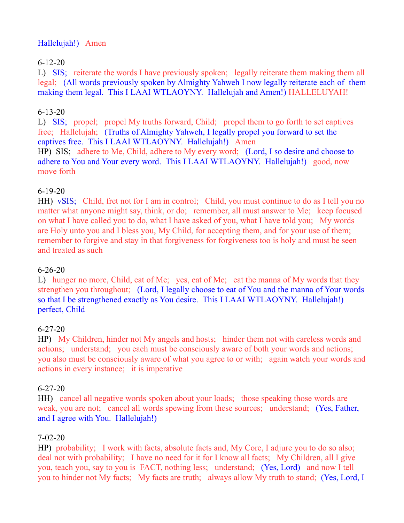## Hallelujah!) Amen

# 6-12-20

L) SIS; reiterate the words I have previously spoken; legally reiterate them making them all legal; (All words previously spoken by Almighty Yahweh I now legally reiterate each of them making them legal. This I LAAI WTLAOYNY. Hallelujah and Amen!) HALLELUYAH!

## 6-13-20

L) SIS; propel; propel My truths forward, Child; propel them to go forth to set captives free; Hallelujah; (Truths of Almighty Yahweh, I legally propel you forward to set the captives free. This I LAAI WTLAOYNY. Hallelujah!) Amen HP) SIS; adhere to Me, Child, adhere to My every word; (Lord, I so desire and choose to adhere to You and Your every word. This I LAAI WTLAOYNY. Hallelujah!) good, now move forth

## 6-19-20

HH) vSIS; Child, fret not for I am in control; Child, you must continue to do as I tell you no matter what anyone might say, think, or do; remember, all must answer to Me; keep focused on what I have called you to do, what I have asked of you, what I have told you; My words are Holy unto you and I bless you, My Child, for accepting them, and for your use of them; remember to forgive and stay in that forgiveness for forgiveness too is holy and must be seen and treated as such

## 6-26-20

L) hunger no more, Child, eat of Me; yes, eat of Me; eat the manna of My words that they strengthen you throughout; (Lord, I legally choose to eat of You and the manna of Your words so that I be strengthened exactly as You desire. This I LAAI WTLAOYNY. Hallelujah!) perfect, Child

## 6-27-20

HP) My Children, hinder not My angels and hosts; hinder them not with careless words and actions; understand; you each must be consciously aware of both your words and actions; you also must be consciously aware of what you agree to or with; again watch your words and actions in every instance; it is imperative

## 6-27-20

HH) cancel all negative words spoken about your loads; those speaking those words are weak, you are not; cancel all words spewing from these sources; understand; (Yes, Father, and I agree with You. Hallelujah!)

## 7-02-20

HP) probability; I work with facts, absolute facts and, My Core, I adjure you to do so also; deal not with probability; I have no need for it for I know all facts; My Children, all I give you, teach you, say to you is FACT, nothing less; understand; (Yes, Lord) and now I tell you to hinder not My facts; My facts are truth; always allow My truth to stand; (Yes, Lord, I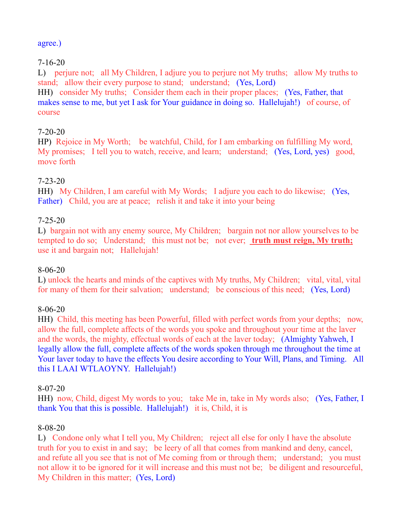### agree.)

## 7-16-20

L) perjure not; all My Children, I adjure you to perjure not My truths; allow My truths to stand; allow their every purpose to stand; understand; (Yes, Lord)

HH) consider My truths; Consider them each in their proper places; (Yes, Father, that makes sense to me, but yet I ask for Your guidance in doing so. Hallelujah!) of course, of course

## 7-20-20

HP) Rejoice in My Worth; be watchful, Child, for I am embarking on fulfilling My word, My promises; I tell you to watch, receive, and learn; understand; (Yes, Lord, yes) good, move forth

### 7-23-20

HH) My Children, I am careful with My Words; I adjure you each to do likewise; (Yes, Father) Child, you are at peace; relish it and take it into your being

### 7-25-20

L) bargain not with any enemy source, My Children; bargain not nor allow yourselves to be tempted to do so; Understand; this must not be; not ever; **truth must reign, My truth;** use it and bargain not; Hallelujah!

### 8-06-20

L) unlock the hearts and minds of the captives with My truths, My Children; vital, vital, vital for many of them for their salvation; understand; be conscious of this need; (Yes, Lord)

## 8-06-20

HH) Child, this meeting has been Powerful, filled with perfect words from your depths; now, allow the full, complete affects of the words you spoke and throughout your time at the laver and the words, the mighty, effectual words of each at the laver today; (Almighty Yahweh, I legally allow the full, complete affects of the words spoken through me throughout the time at Your laver today to have the effects You desire according to Your Will, Plans, and Timing. All this I LAAI WTLAOYNY. Hallelujah!)

### 8-07-20

HH) now, Child, digest My words to you; take Me in, take in My words also; (Yes, Father, I thank You that this is possible. Hallelujah!) it is, Child, it is

### 8-08-20

L) Condone only what I tell you, My Children; reject all else for only I have the absolute truth for you to exist in and say; be leery of all that comes from mankind and deny, cancel, and refute all you see that is not of Me coming from or through them; understand; you must not allow it to be ignored for it will increase and this must not be; be diligent and resourceful, My Children in this matter; (Yes, Lord)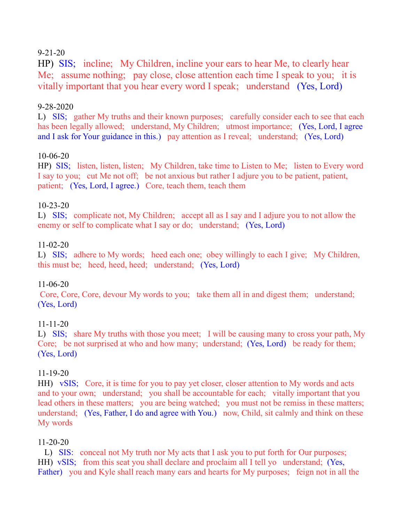### 9-21-20

HP) SIS; incline; My Children, incline your ears to hear Me, to clearly hear Me; assume nothing; pay close, close attention each time I speak to you; it is vitally important that you hear every word I speak; understand (Yes, Lord)

#### 9-28-2020

L) SIS; gather My truths and their known purposes; carefully consider each to see that each has been legally allowed; understand, My Children; utmost importance; (Yes, Lord, I agree and I ask for Your guidance in this.) pay attention as I reveal; understand; (Yes, Lord)

### 10-06-20

HP) SIS; listen, listen, listen; My Children, take time to Listen to Me; listen to Every word I say to you; cut Me not off; be not anxious but rather I adjure you to be patient, patient, patient; (Yes, Lord, I agree.) Core, teach them, teach them

### 10-23-20

L) SIS; complicate not, My Children; accept all as I say and I adjure you to not allow the enemy or self to complicate what I say or do; understand; (Yes, Lord)

### 11-02-20

L) SIS; adhere to My words; heed each one; obey willingly to each I give; My Children, this must be; heed, heed, heed; understand; (Yes, Lord)

### 11-06-20

Core, Core, Core, devour My words to you; take them all in and digest them; understand; (Yes, Lord)

### 11-11-20

L) SIS; share My truths with those you meet; I will be causing many to cross your path, My Core; be not surprised at who and how many; understand; (Yes, Lord) be ready for them; (Yes, Lord)

### 11-19-20

HH) vSIS; Core, it is time for you to pay yet closer, closer attention to My words and acts and to your own; understand; you shall be accountable for each; vitally important that you lead others in these matters; you are being watched; you must not be remiss in these matters; understand; (Yes, Father, I do and agree with You.) now, Child, sit calmly and think on these My words

### 11-20-20

L) SIS: conceal not My truth nor My acts that I ask you to put forth for Our purposes; HH) vSIS; from this seat you shall declare and proclaim all I tell yo understand; (Yes, Father) you and Kyle shall reach many ears and hearts for My purposes; feign not in all the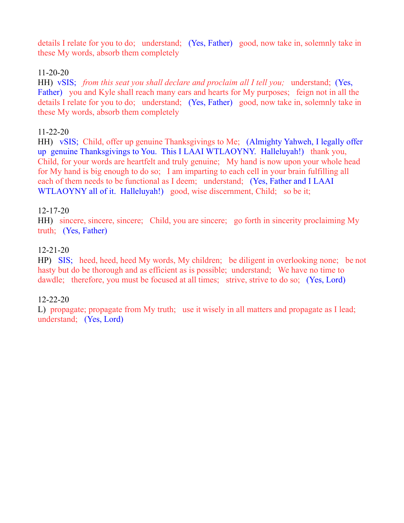details I relate for you to do; understand; (Yes, Father) good, now take in, solemnly take in these My words, absorb them completely

### 11-20-20

HH) vSIS; *from this seat you shall declare and proclaim all I tell you;* understand; (Yes, Father) you and Kyle shall reach many ears and hearts for My purposes; feign not in all the details I relate for you to do; understand; (Yes, Father) good, now take in, solemnly take in these My words, absorb them completely

### 11-22-20

HH) vSIS; Child, offer up genuine Thanksgivings to Me; (Almighty Yahweh, I legally offer up genuine Thanksgivings to You. This I LAAI WTLAOYNY. Halleluyah!) thank you, Child, for your words are heartfelt and truly genuine; My hand is now upon your whole head for My hand is big enough to do so; I am imparting to each cell in your brain fulfilling all each of them needs to be functional as I deem; understand; (Yes, Father and I LAAI WTLAOYNY all of it. Halleluyah!) good, wise discernment, Child; so be it;

### 12-17-20

HH) sincere, sincere, sincere; Child, you are sincere; go forth in sincerity proclaiming My truth; (Yes, Father)

### 12-21-20

HP) SIS; heed, heed, heed My words, My children; be diligent in overlooking none; be not hasty but do be thorough and as efficient as is possible; understand; We have no time to dawdle; therefore, you must be focused at all times; strive, strive to do so; (Yes, Lord)

### 12-22-20

L) propagate; propagate from My truth; use it wisely in all matters and propagate as I lead; understand; (Yes, Lord)